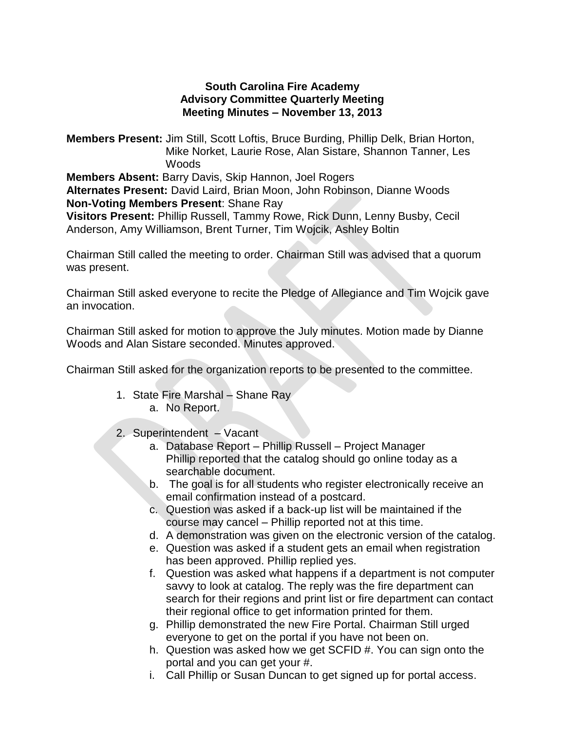## **South Carolina Fire Academy Advisory Committee Quarterly Meeting Meeting Minutes – November 13, 2013**

**Members Present:** Jim Still, Scott Loftis, Bruce Burding, Phillip Delk, Brian Horton, Mike Norket, Laurie Rose, Alan Sistare, Shannon Tanner, Les **Woods Members Absent:** Barry Davis, Skip Hannon, Joel Rogers

**Alternates Present:** David Laird, Brian Moon, John Robinson, Dianne Woods **Non-Voting Members Present**: Shane Ray

**Visitors Present:** Phillip Russell, Tammy Rowe, Rick Dunn, Lenny Busby, Cecil Anderson, Amy Williamson, Brent Turner, Tim Wojcik, Ashley Boltin

Chairman Still called the meeting to order. Chairman Still was advised that a quorum was present.

Chairman Still asked everyone to recite the Pledge of Allegiance and Tim Wojcik gave an invocation.

Chairman Still asked for motion to approve the July minutes. Motion made by Dianne Woods and Alan Sistare seconded. Minutes approved.

Chairman Still asked for the organization reports to be presented to the committee.

- 1. State Fire Marshal Shane Ray a. No Report.
- 2. Superintendent Vacant
	- a. Database Report Phillip Russell Project Manager Phillip reported that the catalog should go online today as a searchable document.
	- b. The goal is for all students who register electronically receive an email confirmation instead of a postcard.
	- c. Question was asked if a back-up list will be maintained if the course may cancel – Phillip reported not at this time.
	- d. A demonstration was given on the electronic version of the catalog.
	- e. Question was asked if a student gets an email when registration has been approved. Phillip replied yes.
	- f. Question was asked what happens if a department is not computer savvy to look at catalog. The reply was the fire department can search for their regions and print list or fire department can contact their regional office to get information printed for them.
	- g. Phillip demonstrated the new Fire Portal. Chairman Still urged everyone to get on the portal if you have not been on.
	- h. Question was asked how we get SCFID #. You can sign onto the portal and you can get your #.
	- i. Call Phillip or Susan Duncan to get signed up for portal access.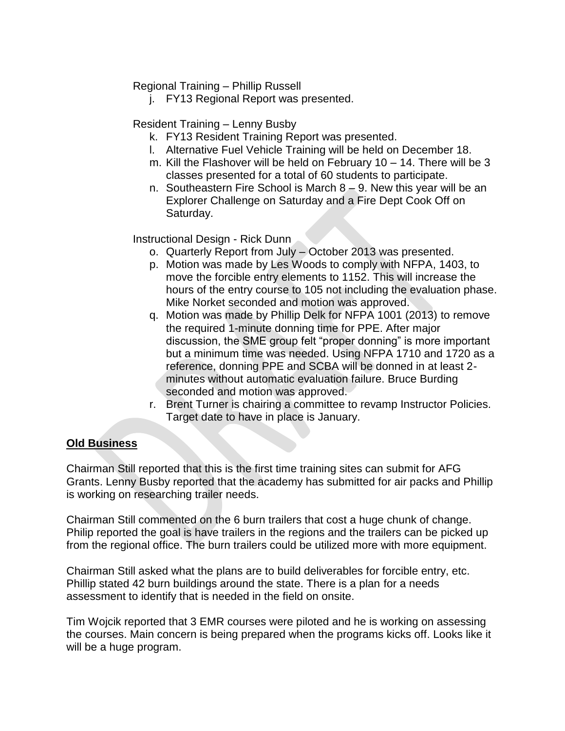Regional Training – Phillip Russell

j. FY13 Regional Report was presented.

Resident Training – Lenny Busby

- k. FY13 Resident Training Report was presented.
- l. Alternative Fuel Vehicle Training will be held on December 18.
- m. Kill the Flashover will be held on February 10 14. There will be 3 classes presented for a total of 60 students to participate.
- n. Southeastern Fire School is March 8 9. New this year will be an Explorer Challenge on Saturday and a Fire Dept Cook Off on Saturday.

Instructional Design - Rick Dunn

- o. Quarterly Report from July October 2013 was presented.
- p. Motion was made by Les Woods to comply with NFPA, 1403, to move the forcible entry elements to 1152. This will increase the hours of the entry course to 105 not including the evaluation phase. Mike Norket seconded and motion was approved.
- q. Motion was made by Phillip Delk for NFPA 1001 (2013) to remove the required 1-minute donning time for PPE. After major discussion, the SME group felt "proper donning" is more important but a minimum time was needed. Using NFPA 1710 and 1720 as a reference, donning PPE and SCBA will be donned in at least 2 minutes without automatic evaluation failure. Bruce Burding seconded and motion was approved.
- r. Brent Turner is chairing a committee to revamp Instructor Policies. Target date to have in place is January.

# **Old Business**

Chairman Still reported that this is the first time training sites can submit for AFG Grants. Lenny Busby reported that the academy has submitted for air packs and Phillip is working on researching trailer needs.

Chairman Still commented on the 6 burn trailers that cost a huge chunk of change. Philip reported the goal is have trailers in the regions and the trailers can be picked up from the regional office. The burn trailers could be utilized more with more equipment.

Chairman Still asked what the plans are to build deliverables for forcible entry, etc. Phillip stated 42 burn buildings around the state. There is a plan for a needs assessment to identify that is needed in the field on onsite.

Tim Wojcik reported that 3 EMR courses were piloted and he is working on assessing the courses. Main concern is being prepared when the programs kicks off. Looks like it will be a huge program.